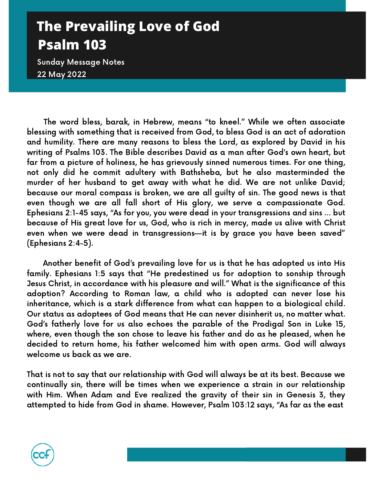## **The Prevailing Love of God Psalm 103**

Sunday Message Notes 22 May 2022

The word bless, barak, in Hebrew, means "to kneel." While we often associate blessing with something that is received from God, to bless God is an act of adoration and humility. There are many reasons to bless the Lord, as explored by David in his writing of Psalms 103. The Bible describes David as a man after God's own heart, but far from a picture of holiness, he has grievously sinned numerous times. For one thing, not only did he commit adultery with Bathsheba, but he also masterminded the murder of her husband to get away with what he did. We are not unlike David; because our moral compass is broken, we are all guilty of sin. The good news is that even though we are all fall short of His glory, we serve a compassionate God. Ephesians 2:1-45 says, "As for you, you were dead in your transgressions and sins … but because of His great love for us, God, who is rich in mercy, made us alive with Christ even when we were dead in transgressions—it is by grace you have been saved" (Ephesians 2:4-5).

Another benefit of God's prevailing love for us is that he has adopted us into His family. Ephesians 1:5 says that "He predestined us for adoption to sonship through Jesus Christ, in accordance with his pleasure and will." What is the significance of this adoption? According to Roman law, a child who is adopted can never lose his inheritance, which is a stark difference from what can happen to a biological child. Our status as adoptees of God means that He can never disinherit us, no matter what. God's fatherly love for us also echoes the parable of the Prodigal Son in Luke 15, where, even though the son chose to leave his father and do as he pleased, when he decided to return home, his father welcomed him with open arms. God will always welcome us back as we are.

That is not to say that our relationship with God will always be at its best. Because we continually sin, there will be times when we experience a strain in our relationship with Him. When Adam and Eve realized the gravity of their sin in Genesis 3, they attempted to hide from God in shame. However, Psalm 103:12 says, "As far as the east